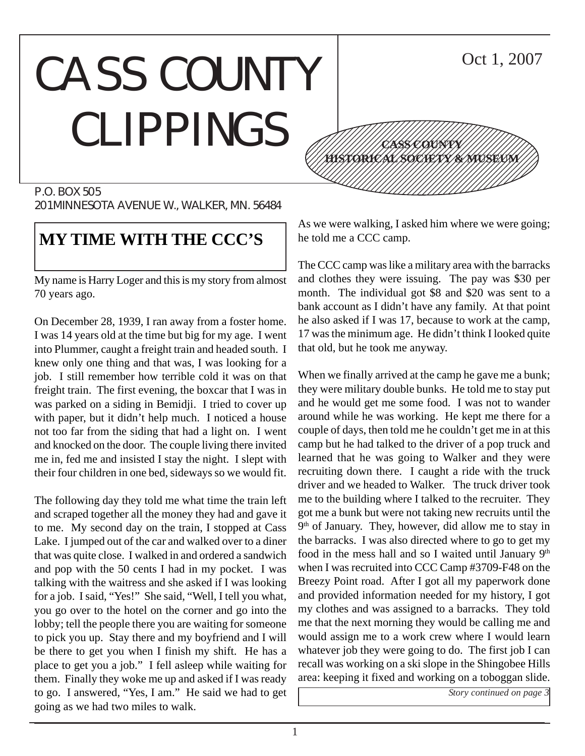### CASS COUNTY CLIPPINGS 12345678901234567890123456789012345678901234567890123456789012345678901234567890123456789012345678901234567890 12345678901234567890123456789012123456789012345 12345678901234567890123456789012123456789012345 12345678901234567890123456789012123456789012345 12345678901234567890123456789012123456789012345



## **MY TIME WITH THE CCC'S**

My name is Harry Loger and this is my story from almost 70 years ago.

On December 28, 1939, I ran away from a foster home. I was 14 years old at the time but big for my age. I went into Plummer, caught a freight train and headed south. I knew only one thing and that was, I was looking for a job. I still remember how terrible cold it was on that freight train. The first evening, the boxcar that I was in was parked on a siding in Bemidji. I tried to cover up with paper, but it didn't help much. I noticed a house not too far from the siding that had a light on. I went and knocked on the door. The couple living there invited me in, fed me and insisted I stay the night. I slept with their four children in one bed, sideways so we would fit.

The following day they told me what time the train left and scraped together all the money they had and gave it to me. My second day on the train, I stopped at Cass Lake. I jumped out of the car and walked over to a diner that was quite close. I walked in and ordered a sandwich and pop with the 50 cents I had in my pocket. I was talking with the waitress and she asked if I was looking for a job. I said, "Yes!" She said, "Well, I tell you what, you go over to the hotel on the corner and go into the lobby; tell the people there you are waiting for someone to pick you up. Stay there and my boyfriend and I will be there to get you when I finish my shift. He has a place to get you a job." I fell asleep while waiting for them. Finally they woke me up and asked if I was ready to go. I answered, "Yes, I am." He said we had to get going as we had two miles to walk.

As we were walking, I asked him where we were going; he told me a CCC camp.

12345678901234567890123456789012123456789012345 12345678901234567890123456789012123456789012345 1234 The Territorial Constitution of the Constitution of the Constitution of the Constitution of the Constitution of 12345678901234567890123456789012345678901234567890123456789012345678901234567890123456789012345678901234567890

**CASS COUNTY HISTORICAL SOCIETY & MUSEUM**

Oct 1, 2007

The CCC camp was like a military area with the barracks and clothes they were issuing. The pay was \$30 per month. The individual got \$8 and \$20 was sent to a bank account as I didn't have any family. At that point he also asked if I was 17, because to work at the camp, 17 was the minimum age. He didn't think I looked quite that old, but he took me anyway.

When we finally arrived at the camp he gave me a bunk; they were military double bunks. He told me to stay put and he would get me some food. I was not to wander around while he was working. He kept me there for a couple of days, then told me he couldn't get me in at this camp but he had talked to the driver of a pop truck and learned that he was going to Walker and they were recruiting down there. I caught a ride with the truck driver and we headed to Walker. The truck driver took me to the building where I talked to the recruiter. They got me a bunk but were not taking new recruits until the  $9<sup>th</sup>$  of January. They, however, did allow me to stay in the barracks. I was also directed where to go to get my food in the mess hall and so I waited until January  $9<sup>th</sup>$ when I was recruited into CCC Camp #3709-F48 on the Breezy Point road. After I got all my paperwork done and provided information needed for my history, I got my clothes and was assigned to a barracks. They told me that the next morning they would be calling me and would assign me to a work crew where I would learn whatever job they were going to do. The first job I can recall was working on a ski slope in the Shingobee Hills area: keeping it fixed and working on a toboggan slide.

*Story continued on page 3*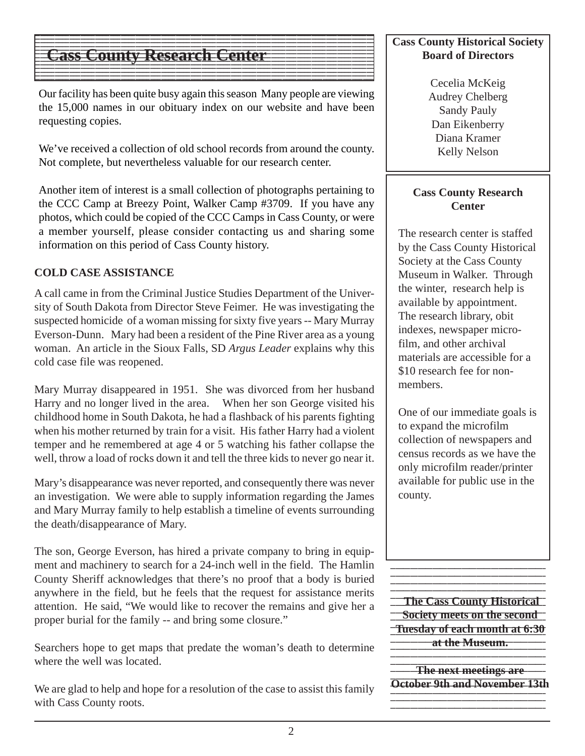### $1$  9  $\pm$  9  $\pm$  9  $\pm$  9  $\pm$  9  $\pm$  9  $\pm$  9  $\pm$  9  $\pm$  9  $\pm$  9  $\pm$  9  $\pm$  9  $\pm$  9  $\pm$  9  $\pm$  9  $\pm$  9  $\pm$  9  $\pm$  9  $\pm$  9  $\pm$  9  $\pm$  9  $\pm$  9  $\pm$  9  $\pm$  9  $\pm$  9  $\pm$  9  $\pm$  9  $\pm$  9  $\pm$  9  $\pm$  9  $\pm$  9  $\pm$  **Cass County Research Center**  $\blacksquare$

Our facility has been quite busy again this season Many people are viewing the 15,000 names in our obituary index on our website and have been requesting copies.

123456789012345678901234567890121234567890123456789012345678901212345678901234567890123456789 123456789012345678901234567890121234567890123456789012345678901212345678901234567890123456789

123456789012345678901234567890121234567890123456789012345678901212345678901234567890123456789  $1$  9  $\pm$  9  $\pm$  9  $\pm$  9  $\pm$  9  $\pm$  9  $\pm$  9  $\pm$  9  $\pm$  9  $\pm$  9  $\pm$  9  $\pm$  9  $\pm$  9  $\pm$  9  $\pm$  9  $\pm$  9  $\pm$  9  $\pm$  9  $\pm$  9  $\pm$  9  $\pm$  9  $\pm$  9  $\pm$  9  $\pm$  9  $\pm$  9  $\pm$  9  $\pm$  9  $\pm$  9  $\pm$  9  $\pm$  9  $\pm$  9  $\pm$  123456789012345678901234567890121234567890123456789012345678901212345678901234567890123456789 12345678901234567890123456789012345678901234567890123456789012345678901234567890123456789012345678901234567890

We've received a collection of old school records from around the county. Not complete, but nevertheless valuable for our research center.

Another item of interest is a small collection of photographs pertaining to the CCC Camp at Breezy Point, Walker Camp #3709. If you have any photos, which could be copied of the CCC Camps in Cass County, or were a member yourself, please consider contacting us and sharing some information on this period of Cass County history.

### **COLD CASE ASSISTANCE**

A call came in from the Criminal Justice Studies Department of the University of South Dakota from Director Steve Feimer. He was investigating the suspected homicide of a woman missing for sixty five years -- Mary Murray Everson-Dunn. Mary had been a resident of the Pine River area as a young woman. An article in the Sioux Falls, SD *Argus Leader* explains why this cold case file was reopened.

Mary Murray disappeared in 1951. She was divorced from her husband Harry and no longer lived in the area. When her son George visited his childhood home in South Dakota, he had a flashback of his parents fighting when his mother returned by train for a visit. His father Harry had a violent temper and he remembered at age 4 or 5 watching his father collapse the well, throw a load of rocks down it and tell the three kids to never go near it.

Mary's disappearance was never reported, and consequently there was never an investigation. We were able to supply information regarding the James and Mary Murray family to help establish a timeline of events surrounding the death/disappearance of Mary.

The son, George Everson, has hired a private company to bring in equipment and machinery to search for a 24-inch well in the field. The Hamlin County Sheriff acknowledges that there's no proof that a body is buried anywhere in the field, but he feels that the request for assistance merits attention. He said, "We would like to recover the remains and give her a proper burial for the family -- and bring some closure."

Searchers hope to get maps that predate the woman's death to determine where the well was located.

We are glad to help and hope for a resolution of the case to assist this family with Cass County roots.

### **Cass County Historical Society Board of Directors**

Cecelia McKeig Audrey Chelberg Sandy Pauly Dan Eikenberry Diana Kramer Kelly Nelson

### **Cass County Research Center**

The research center is staffed by the Cass County Historical Society at the Cass County Museum in Walker. Through the winter, research help is available by appointment. The research library, obit indexes, newspaper microfilm, and other archival materials are accessible for a \$10 research fee for nonmembers.

One of our immediate goals is to expand the microfilm collection of newspapers and census records as we have the only microfilm reader/printer available for public use in the county.

**The Cass County Historical 12356 Society meets on the second Tuesday of each month at 6:30 12345 at the Museum.** The Museum.

123456789012345678901234567890123456789012345678901234567890123456789012345678901

**1234567912 The next meetings are** 1234567890123456789012 **October 9th and November 13th**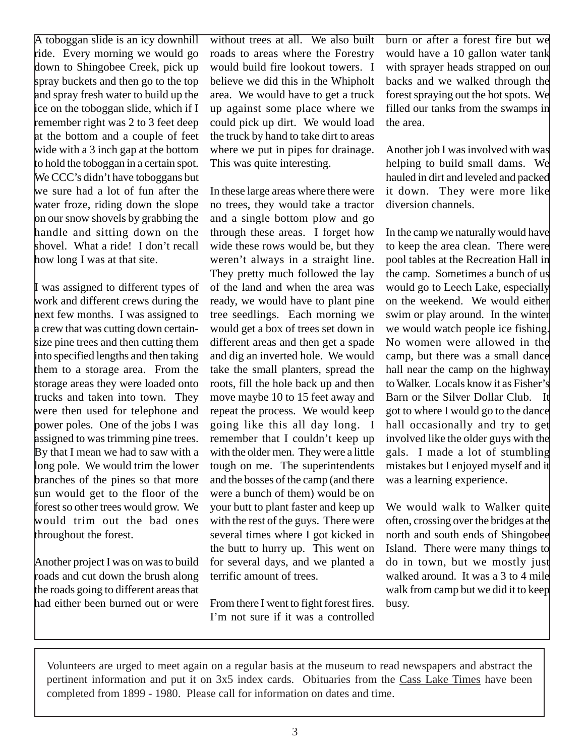A toboggan slide is an icy downhill ride. Every morning we would go down to Shingobee Creek, pick up spray buckets and then go to the top and spray fresh water to build up the ice on the toboggan slide, which if I remember right was 2 to 3 feet deep at the bottom and a couple of feet wide with a 3 inch gap at the bottom to hold the toboggan in a certain spot. We CCC's didn't have toboggans but we sure had a lot of fun after the water froze, riding down the slope on our snow shovels by grabbing the handle and sitting down on the shovel. What a ride! I don't recall how long I was at that site.

I was assigned to different types of work and different crews during the next few months. I was assigned to a crew that was cutting down certainsize pine trees and then cutting them into specified lengths and then taking them to a storage area. From the storage areas they were loaded onto trucks and taken into town. They were then used for telephone and power poles. One of the jobs I was assigned to was trimming pine trees. By that I mean we had to saw with a long pole. We would trim the lower branches of the pines so that more sun would get to the floor of the forest so other trees would grow. We would trim out the bad ones throughout the forest.

Another project I was on was to build roads and cut down the brush along the roads going to different areas that had either been burned out or were without trees at all. We also built roads to areas where the Forestry would build fire lookout towers. I believe we did this in the Whipholt area. We would have to get a truck up against some place where we could pick up dirt. We would load the truck by hand to take dirt to areas where we put in pipes for drainage. This was quite interesting.

In these large areas where there were no trees, they would take a tractor and a single bottom plow and go through these areas. I forget how wide these rows would be, but they weren't always in a straight line. They pretty much followed the lay of the land and when the area was ready, we would have to plant pine tree seedlings. Each morning we would get a box of trees set down in different areas and then get a spade and dig an inverted hole. We would take the small planters, spread the roots, fill the hole back up and then move maybe 10 to 15 feet away and repeat the process. We would keep going like this all day long. I remember that I couldn't keep up with the older men. They were a little tough on me. The superintendents and the bosses of the camp (and there were a bunch of them) would be on your butt to plant faster and keep up with the rest of the guys. There were several times where I got kicked in the butt to hurry up. This went on for several days, and we planted a terrific amount of trees.

From there I went to fight forest fires. I'm not sure if it was a controlled burn or after a forest fire but we would have a 10 gallon water tank with sprayer heads strapped on our backs and we walked through the forest spraying out the hot spots. We filled our tanks from the swamps in the area.

Another job I was involved with was helping to build small dams. We hauled in dirt and leveled and packed it down. They were more like diversion channels.

In the camp we naturally would have to keep the area clean. There were pool tables at the Recreation Hall in the camp. Sometimes a bunch of us would go to Leech Lake, especially on the weekend. We would either swim or play around. In the winter we would watch people ice fishing. No women were allowed in the camp, but there was a small dance hall near the camp on the highway to Walker. Locals know it as Fisher's Barn or the Silver Dollar Club. It got to where I would go to the dance hall occasionally and try to get involved like the older guys with the gals. I made a lot of stumbling mistakes but I enjoyed myself and it was a learning experience.

We would walk to Walker quite often, crossing over the bridges at the north and south ends of Shingobee Island. There were many things to do in town, but we mostly just walked around. It was a 3 to 4 mile walk from camp but we did it to keep busy.

Volunteers are urged to meet again on a regular basis at the museum to read newspapers and abstract the pertinent information and put it on 3x5 index cards. Obituaries from the Cass Lake Times have been completed from 1899 - 1980. Please call for information on dates and time.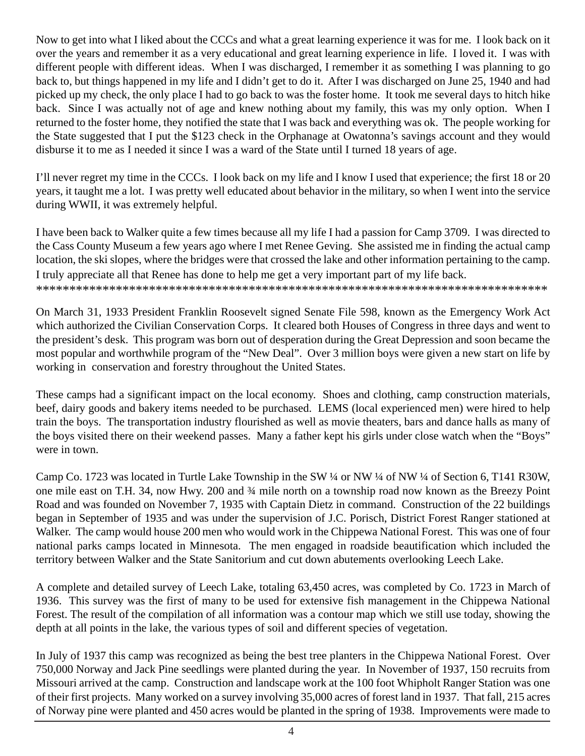Now to get into what I liked about the CCCs and what a great learning experience it was for me. I look back on it over the years and remember it as a very educational and great learning experience in life. I loved it. I was with different people with different ideas. When I was discharged, I remember it as something I was planning to go back to, but things happened in my life and I didn't get to do it. After I was discharged on June 25, 1940 and had picked up my check, the only place I had to go back to was the foster home. It took me several days to hitch hike back. Since I was actually not of age and knew nothing about my family, this was my only option. When I returned to the foster home, they notified the state that I was back and everything was ok. The people working for the State suggested that I put the \$123 check in the Orphanage at Owatonna's savings account and they would disburse it to me as I needed it since I was a ward of the State until I turned 18 years of age.

I'll never regret my time in the CCCs. I look back on my life and I know I used that experience; the first 18 or 20 years, it taught me a lot. I was pretty well educated about behavior in the military, so when I went into the service during WWII, it was extremely helpful.

I have been back to Walker quite a few times because all my life I had a passion for Camp 3709. I was directed to the Cass County Museum a few years ago where I met Renee Geving. She assisted me in finding the actual camp location, the ski slopes, where the bridges were that crossed the lake and other information pertaining to the camp. I truly appreciate all that Renee has done to help me get a very important part of my life back. \*\*\*\*\*\*\*\*\*\*\*\*\*\*\*\*\*\*\*\*\*\*\*\*\*\*\*\*\*\*\*\*\*\*\*\*\*\*\*\*\*\*\*\*\*\*\*\*\*\*\*\*\*\*\*\*\*\*\*\*\*\*\*\*\*\*\*\*\*\*\*\*\*\*\*\*\*

On March 31, 1933 President Franklin Roosevelt signed Senate File 598, known as the Emergency Work Act which authorized the Civilian Conservation Corps. It cleared both Houses of Congress in three days and went to the president's desk. This program was born out of desperation during the Great Depression and soon became the most popular and worthwhile program of the "New Deal". Over 3 million boys were given a new start on life by working in conservation and forestry throughout the United States.

These camps had a significant impact on the local economy. Shoes and clothing, camp construction materials, beef, dairy goods and bakery items needed to be purchased. LEMS (local experienced men) were hired to help train the boys. The transportation industry flourished as well as movie theaters, bars and dance halls as many of the boys visited there on their weekend passes. Many a father kept his girls under close watch when the "Boys" were in town.

Camp Co. 1723 was located in Turtle Lake Township in the SW ¼ or NW ¼ of NW ¼ of Section 6, T141 R30W, one mile east on T.H. 34, now Hwy. 200 and ¾ mile north on a township road now known as the Breezy Point Road and was founded on November 7, 1935 with Captain Dietz in command. Construction of the 22 buildings began in September of 1935 and was under the supervision of J.C. Porisch, District Forest Ranger stationed at Walker. The camp would house 200 men who would work in the Chippewa National Forest. This was one of four national parks camps located in Minnesota. The men engaged in roadside beautification which included the territory between Walker and the State Sanitorium and cut down abutements overlooking Leech Lake.

A complete and detailed survey of Leech Lake, totaling 63,450 acres, was completed by Co. 1723 in March of 1936. This survey was the first of many to be used for extensive fish management in the Chippewa National Forest. The result of the compilation of all information was a contour map which we still use today, showing the depth at all points in the lake, the various types of soil and different species of vegetation.

In July of 1937 this camp was recognized as being the best tree planters in the Chippewa National Forest. Over 750,000 Norway and Jack Pine seedlings were planted during the year. In November of 1937, 150 recruits from Missouri arrived at the camp. Construction and landscape work at the 100 foot Whipholt Ranger Station was one of their first projects. Many worked on a survey involving 35,000 acres of forest land in 1937. That fall, 215 acres of Norway pine were planted and 450 acres would be planted in the spring of 1938. Improvements were made to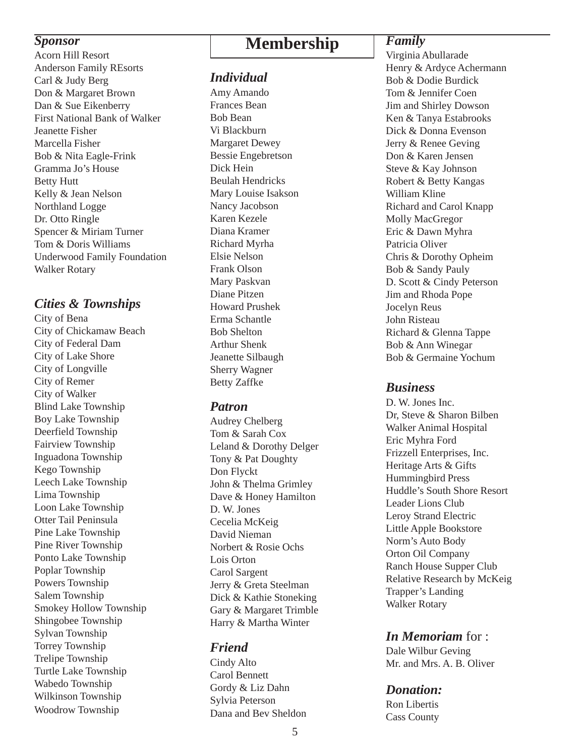Anderson Family REsorts Carl & Judy Berg Don & Margaret Brown Dan & Sue Eikenberry First National Bank of Walker Jeanette Fisher Marcella Fisher Bob & Nita Eagle-Frink Gramma Jo's House Betty Hutt Kelly & Jean Nelson Northland Logge Dr. Otto Ringle Spencer & Miriam Turner Tom & Doris Williams Underwood Family Foundation Walker Rotary

### *Cities & Townships*

City of Bena City of Chickamaw Beach City of Federal Dam City of Lake Shore City of Longville City of Remer City of Walker Blind Lake Township Boy Lake Township Deerfield Township Fairview Township Inguadona Township Kego Township Leech Lake Township Lima Township Loon Lake Township Otter Tail Peninsula Pine Lake Township Pine River Township Ponto Lake Township Poplar Township Powers Township Salem Township Smokey Hollow Township Shingobee Township Sylvan Township Torrey Township Trelipe Township Turtle Lake Township Wabedo Township Wilkinson Township Woodrow Township

# **Sponsor**<br>Acorn Hill Resort **Membership**

### *Individual*

Amy Amando Frances Bean Bob Bean Vi Blackburn Margaret Dewey Bessie Engebretson Dick Hein Beulah Hendricks Mary Louise Isakson Nancy Jacobson Karen Kezele Diana Kramer Richard Myrha Elsie Nelson Frank Olson Mary Paskvan Diane Pitzen Howard Prushek Erma Schantle Bob Shelton Arthur Shenk Jeanette Silbaugh Sherry Wagner Betty Zaffke

### *Patron*

Audrey Chelberg Tom & Sarah Cox Leland & Dorothy Delger Tony & Pat Doughty Don Flyckt John & Thelma Grimley Dave & Honey Hamilton D. W. Jones Cecelia McKeig David Nieman Norbert & Rosie Ochs Lois Orton Carol Sargent Jerry & Greta Steelman Dick & Kathie Stoneking Gary & Margaret Trimble Harry & Martha Winter

### *Friend*

Cindy Alto Carol Bennett Gordy & Liz Dahn Sylvia Peterson Dana and Bev Sheldon

### *Family*

Virginia Abullarade Henry & Ardyce Achermann Bob & Dodie Burdick Tom & Jennifer Coen Jim and Shirley Dowson Ken & Tanya Estabrooks Dick & Donna Evenson Jerry & Renee Geving Don & Karen Jensen Steve & Kay Johnson Robert & Betty Kangas William Kline Richard and Carol Knapp Molly MacGregor Eric & Dawn Myhra Patricia Oliver Chris & Dorothy Opheim Bob & Sandy Pauly D. Scott & Cindy Peterson Jim and Rhoda Pope Jocelyn Reus John Risteau Richard & Glenna Tappe Bob & Ann Winegar Bob & Germaine Yochum

### *Business*

D. W. Jones Inc. Dr, Steve & Sharon Bilben Walker Animal Hospital Eric Myhra Ford Frizzell Enterprises, Inc. Heritage Arts & Gifts Hummingbird Press Huddle's South Shore Resort Leader Lions Club Leroy Strand Electric Little Apple Bookstore Norm's Auto Body Orton Oil Company Ranch House Supper Club Relative Research by McKeig Trapper's Landing Walker Rotary

### *In Memoriam* for :

Dale Wilbur Geving Mr. and Mrs. A. B. Oliver

### *Donation:*

Ron Libertis Cass County